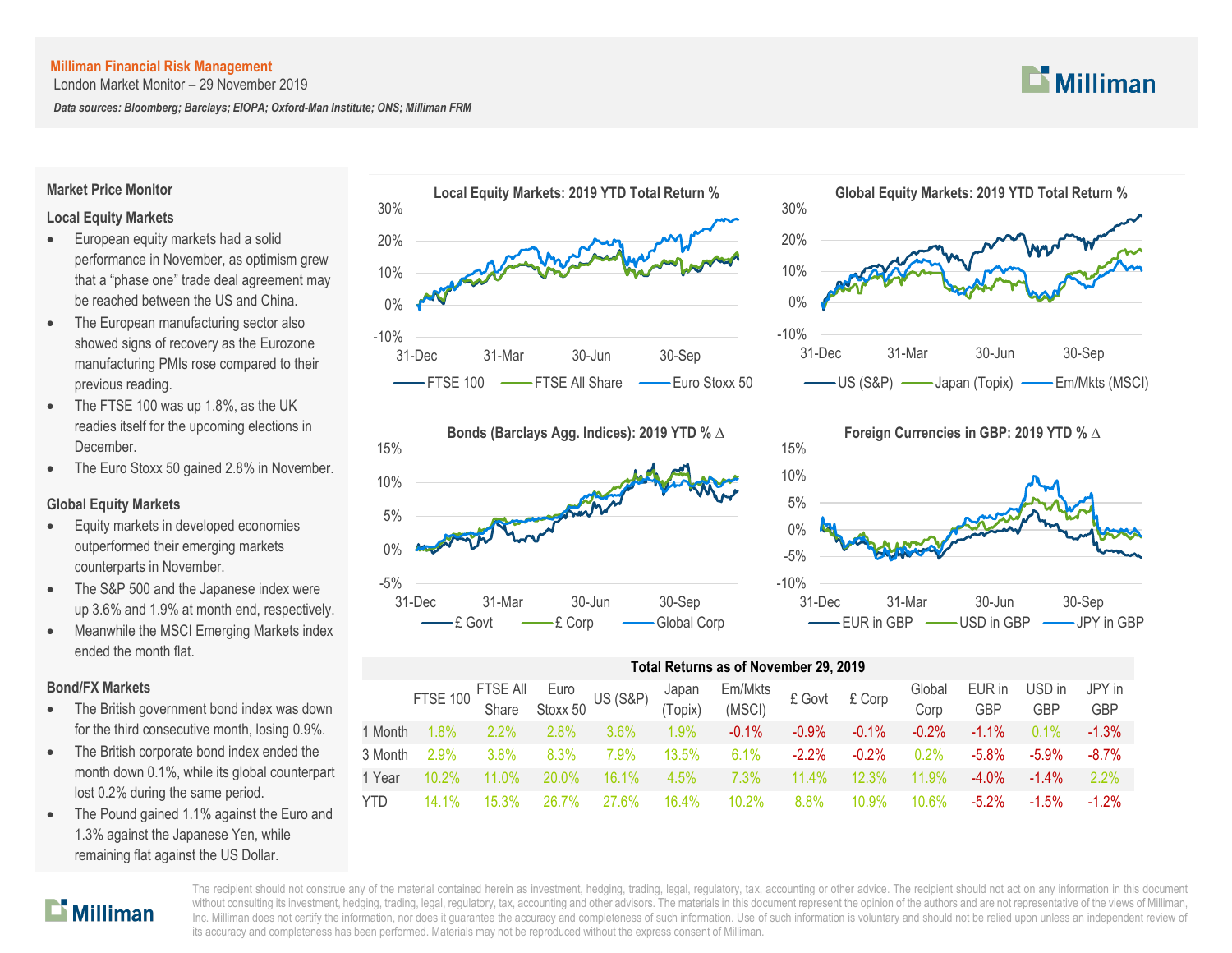London Market Monitor – 29 November 2019

*Data sources: Bloomberg; Barclays; EIOPA; Oxford-Man Institute; ONS; Milliman FRM*

# $\mathbf{L}$  Milliman

#### **Market Price Monitor**

# **Local Equity Markets**

- **European equity markets had a solid** performance in November, as optimism grew that a "phase one" trade deal agreement may be reached between the US and China.
- The European manufacturing sector also showed signs of recovery as the Eurozone manufacturing PMIs rose compared to their previous reading.
- The FTSE 100 was up 1.8%, as the UK readies itself for the upcoming elections in **December**
- The Euro Stoxx 50 gained 2.8% in November.

# **Global Equity Markets**

- Equity markets in developed economies outperformed their emerging markets counterparts in November.
- The S&P 500 and the Japanese index were up 3.6% and 1.9% at month end, respectively.
- Meanwhile the MSCI Emerging Markets index ended the month flat.

# **Bond/FX Markets**

- The British government bond index was down for the third consecutive month, losing 0.9%.
- The British corporate bond index ended the month down 0.1%, while its global counterpart lost 0.2% during the same period.
- The Pound gained 1.1% against the Euro and 1.3% against the Japanese Yen, while remaining flat against the US Dollar.









|         | Total Returns as of November 29, 2019 |                   |                  |                     |                  |                   |          |         |                |               |                      |               |  |
|---------|---------------------------------------|-------------------|------------------|---------------------|------------------|-------------------|----------|---------|----------------|---------------|----------------------|---------------|--|
|         | <b>FTSE 100</b>                       | FTSE All<br>Share | Euro<br>Stoxx 50 | <b>US (S&amp;P)</b> | Japan<br>(Topix) | Em/Mkts<br>(MSCI) | £ Govt   | £ Corp  | Global<br>Corp | EUR in<br>GBP | USD in<br><b>GBP</b> | JPY in<br>GBP |  |
| 1 Month | $.8\%$                                | 2.2%              | 2.8%             | $3.6\%$             | 1.9%             | $-0.1%$           | $-0.9\%$ | $-0.1%$ | $-0.2%$        | $-1.1\%$      | 0.1%                 | $-1.3%$       |  |
| 3 Month | 2.9%                                  | 3.8%              | 8.3%             | 7.9%                | 13.5%            | 6.1%              | $-2.2%$  | $-0.2%$ | በ 2%           | $-5.8\%$      | $-5.9\%$             | $-8.7\%$      |  |
| 1 Year  | $10.2\%$                              | 11.0%             | 20.0%            | 16.1%               | 4.5%             | $7.3\%$           | 11.4%    | 12.3%   | 11.9%          | $-4.0\%$      | $-1.4\%$             | 2.2%          |  |
| YTD     | 14.1%                                 | 15.3%             | 26 7%            | 27.6%               | 16.4%            | 10.2%             | $8.8\%$  | 10.9%   | 10.6%          | $-5.2\%$      | $-1.5\%$             | $-1.2%$       |  |

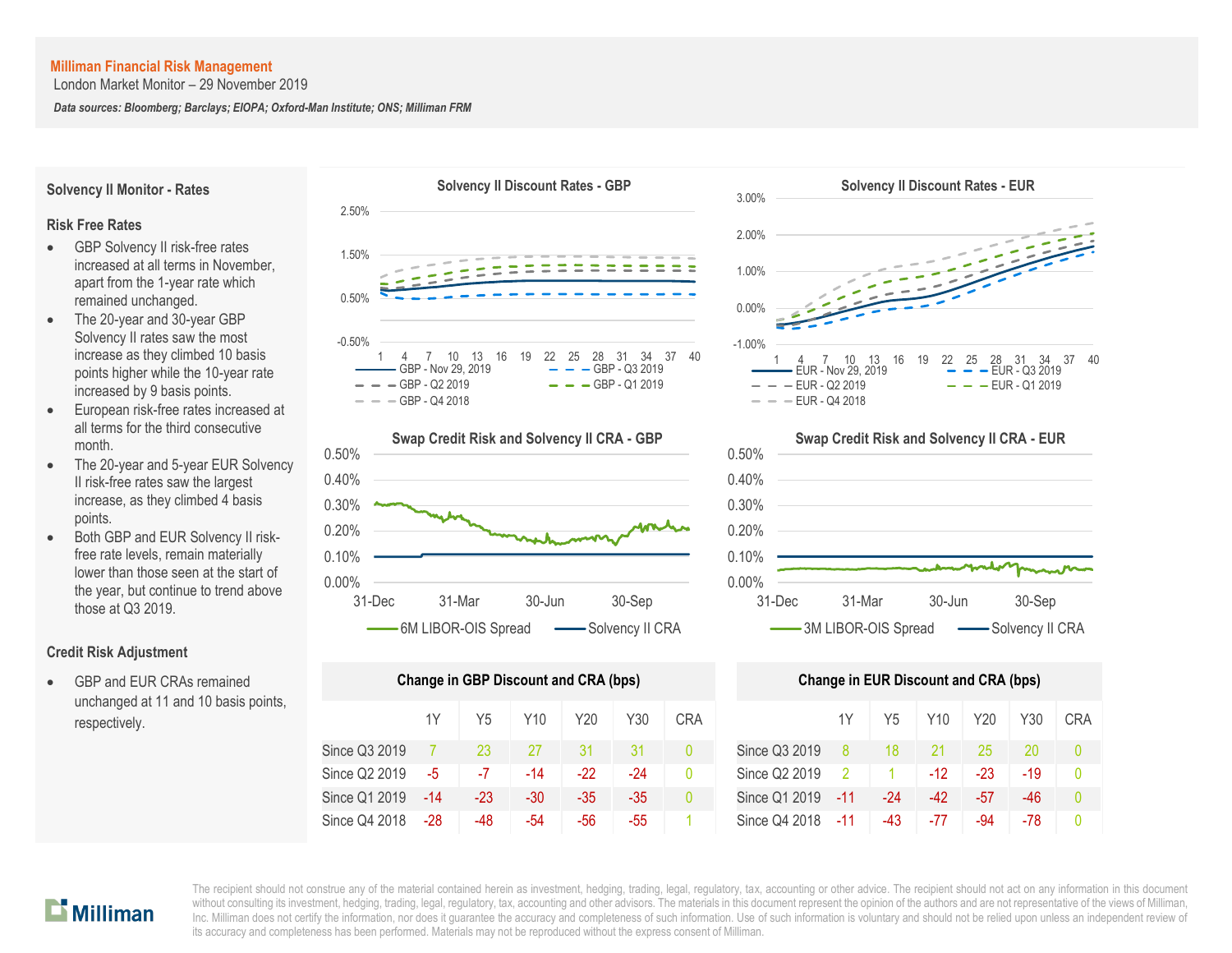London Market Monitor – 29 November 2019

*Data sources: Bloomberg; Barclays; EIOPA; Oxford-Man Institute; ONS; Milliman FRM*

**Risk Free Rates** GBP Solvency II risk-free rates increased at all terms in November, apart from the 1-year rate which

**Solvency II Monitor - Rates**

- remained unchanged. The 20-year and 30-year GBP Solvency II rates saw the most increase as they climbed 10 basis points higher while the 10-year rate increased by 9 basis points.
- European risk-free rates increased at all terms for the third consecutive month.
- The 20-year and 5-year EUR Solvency II risk-free rates saw the largest increase, as they climbed 4 basis points.
- Both GBP and EUR Solvency II riskfree rate levels, remain materially lower than those seen at the start of the year, but continue to trend above those at Q3 2019.

# **Credit Risk Adjustment**

 GBP and EUR CRAs remained unchanged at 11 and 10 basis points, respectively.





| <b>Change in GBP Discount and CRA (bps)</b> | <b>Change in EUR Discount and CRA (bps)</b> |       |       |       |     |                |               |     |       |       |       |     |    |
|---------------------------------------------|---------------------------------------------|-------|-------|-------|-----|----------------|---------------|-----|-------|-------|-------|-----|----|
|                                             | 1Y                                          | Y5    | Y10   | Y20   | Y30 | <b>CRA</b>     |               | 1Y  | Y5    | Y10   | Y20   | Y30 | CR |
| Since Q3 2019                               |                                             | 23    | 27    | 31    |     | $\overline{0}$ | Since Q3 2019 | 8   | 18    |       | 25    | 20  | Ω  |
| Since Q2 2019                               | -5                                          | -7    | $-14$ | $-22$ | -24 | 0              | Since Q2 2019 | -2  |       | $-12$ | -23   | -19 | 0  |
| Since Q1 2019                               | $-14$                                       | $-23$ | $-30$ | $-35$ | -35 | $\overline{0}$ | Since Q1 2019 | -11 | $-24$ | -42   | $-57$ | -46 | 0  |
| Since Q4 2018                               | -28                                         | -48   | -54   | -56   | -55 |                | Since Q4 2018 | -11 | -43   | -77   | -94   | -78 | 0  |





| nge in GBP Discount and CRA (bps) |       |       |       |     |            | <b>Change in EUR Discount and CRA (bps)</b> |                |                |       |       |     |            |  |
|-----------------------------------|-------|-------|-------|-----|------------|---------------------------------------------|----------------|----------------|-------|-------|-----|------------|--|
| 1Y                                | Y5    | Y10   | Y20   | Y30 | <b>CRA</b> |                                             | 1Y             | Y5             | Y10   | Y20   | Y30 | <b>CRA</b> |  |
|                                   | 23    | 27    | 31    | 31  |            | Since Q3 2019                               | -8             | 18             |       | 25    | 20  | $\theta$   |  |
| -5.                               | -7    | $-14$ | $-22$ | -24 | 0          | Since Q2 2019                               | $\overline{2}$ | $\overline{1}$ | $-12$ | $-23$ | -19 | $\theta$   |  |
| -14                               | $-23$ | $-30$ | $-35$ | -35 | 0          | Since Q1 2019                               | $-11$          | -24            | -42   | $-57$ | -46 | $\Omega$   |  |
| -28                               | -48   | -54   | -56   | -55 |            | Since Q4 2018                               | $-11$          | -43            | -77   | -94   | -78 |            |  |

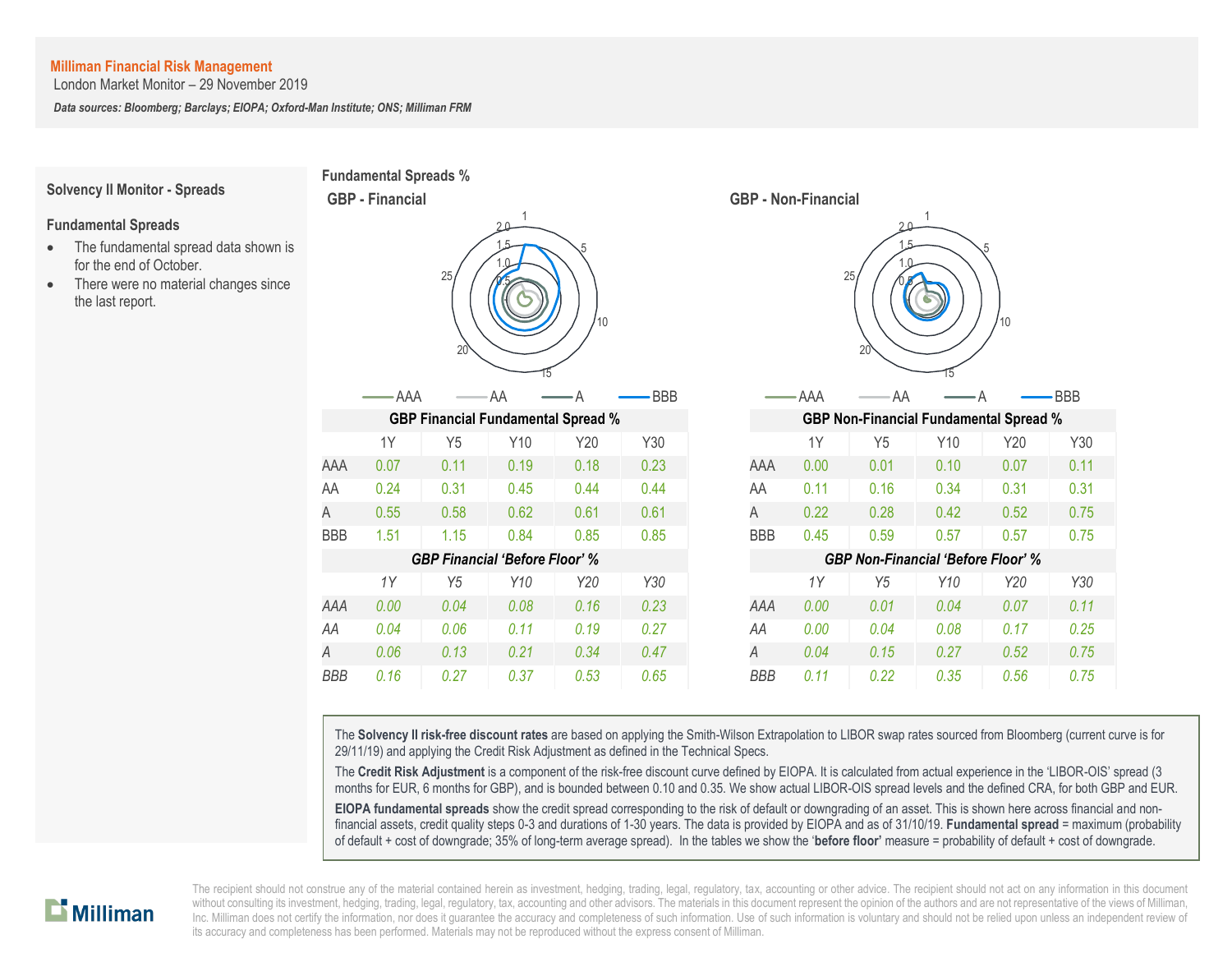London Market Monitor – 29 November 2019

*Data sources: Bloomberg; Barclays; EIOPA; Oxford-Man Institute; ONS; Milliman FRM*

#### **Solvency II Monitor - Spreads**

#### **Fundamental Spreads**

- The fundamental spread data shown is for the end of October.
- There were no material changes since the last report.





The **Solvency II risk-free discount rates** are based on applying the Smith-Wilson Extrapolation to LIBOR swap rates sourced from Bloomberg (current curve is for 29/11/19) and applying the Credit Risk Adjustment as defined in the Technical Specs.

The **Credit Risk Adjustment** is a component of the risk-free discount curve defined by EIOPA. It is calculated from actual experience in the 'LIBOR-OIS' spread (3 months for EUR, 6 months for GBP), and is bounded between 0.10 and 0.35. We show actual LIBOR-OIS spread levels and the defined CRA, for both GBP and EUR.

**EIOPA fundamental spreads** show the credit spread corresponding to the risk of default or downgrading of an asset. This is shown here across financial and nonfinancial assets, credit quality steps 0-3 and durations of 1-30 years. The data is provided by EIOPA and as of 31/10/19. **Fundamental spread** = maximum (probability of default + cost of downgrade; 35% of long-term average spread). In the tables we show the '**before floor'** measure = probability of default + cost of downgrade.

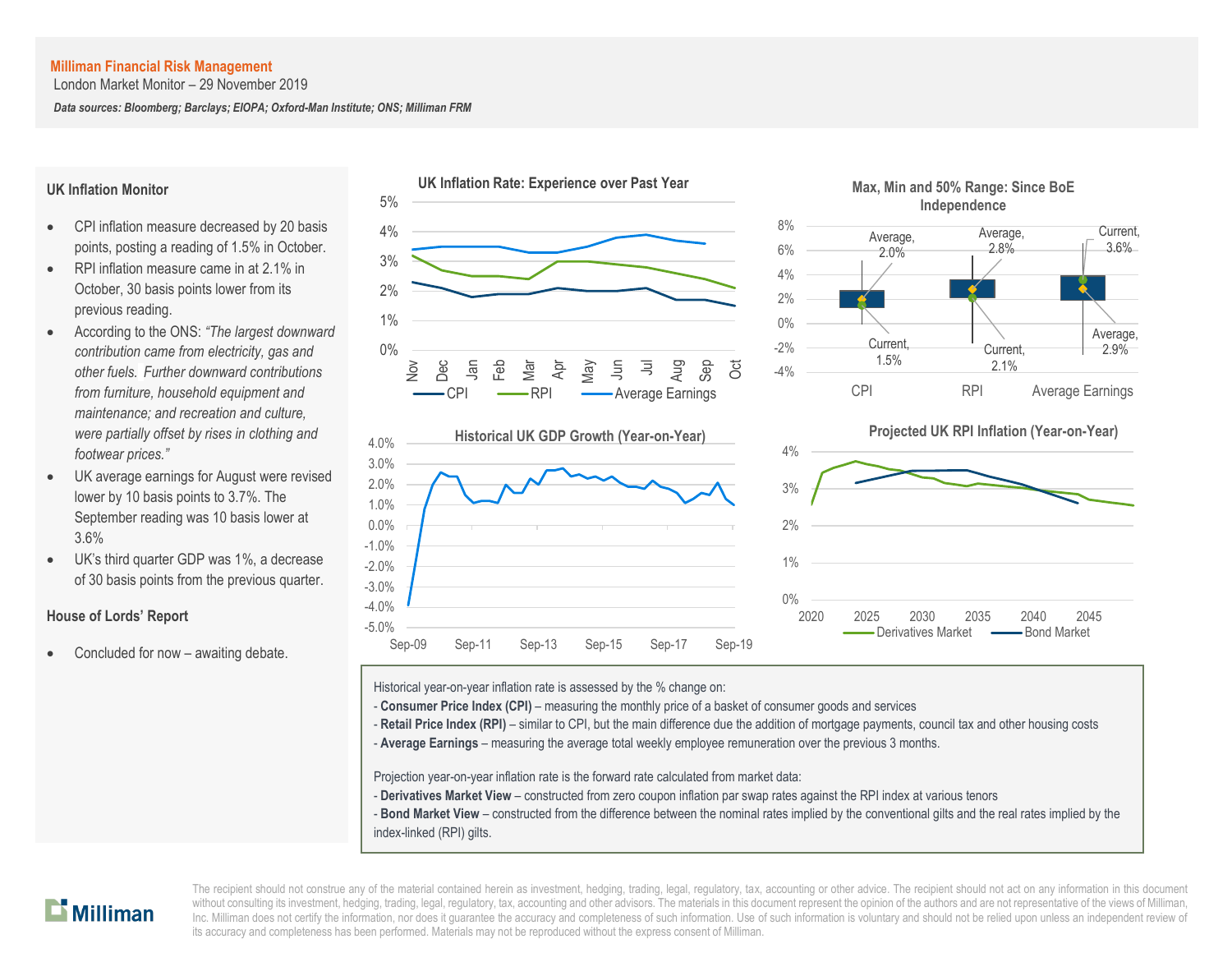London Market Monitor – 29 November 2019

*Data sources: Bloomberg; Barclays; EIOPA; Oxford-Man Institute; ONS; Milliman FRM*

#### **UK Inflation Monitor**

- CPI inflation measure decreased by 20 basis points, posting a reading of 1.5% in October.
- RPI inflation measure came in at 2.1% in October, 30 basis points lower from its previous reading.
- According to the ONS: *"The largest downward contribution came from electricity, gas and other fuels. Further downward contributions from furniture, household equipment and maintenance; and recreation and culture, were partially offset by rises in clothing and footwear prices."*
- UK average earnings for August were revised lower by 10 basis points to 3.7%. The September reading was 10 basis lower at 3.6%
- UK's third quarter GDP was 1%, a decrease of 30 basis points from the previous quarter.

# **House of Lords' Report**

Concluded for now – awaiting debate.









Historical year-on-year inflation rate is assessed by the % change on:

- **Consumer Price Index (CPI)** measuring the monthly price of a basket of consumer goods and services
- Retail Price Index (RPI) similar to CPI, but the main difference due the addition of mortgage payments, council tax and other housing costs
- A **Average Earnings** measuring the average total weekly employee remuneration over the previous 3 months.

Projection year-on-year inflation rate is the forward rate calculated from market data:

- **Derivatives Market View** constructed from zero coupon inflation par swap rates against the RPI index at various tenors
- **Bond Market View** constructed from the difference between the nominal rates implied by the conventional gilts and the real rates implied by the index-linked (RPI) gilts.

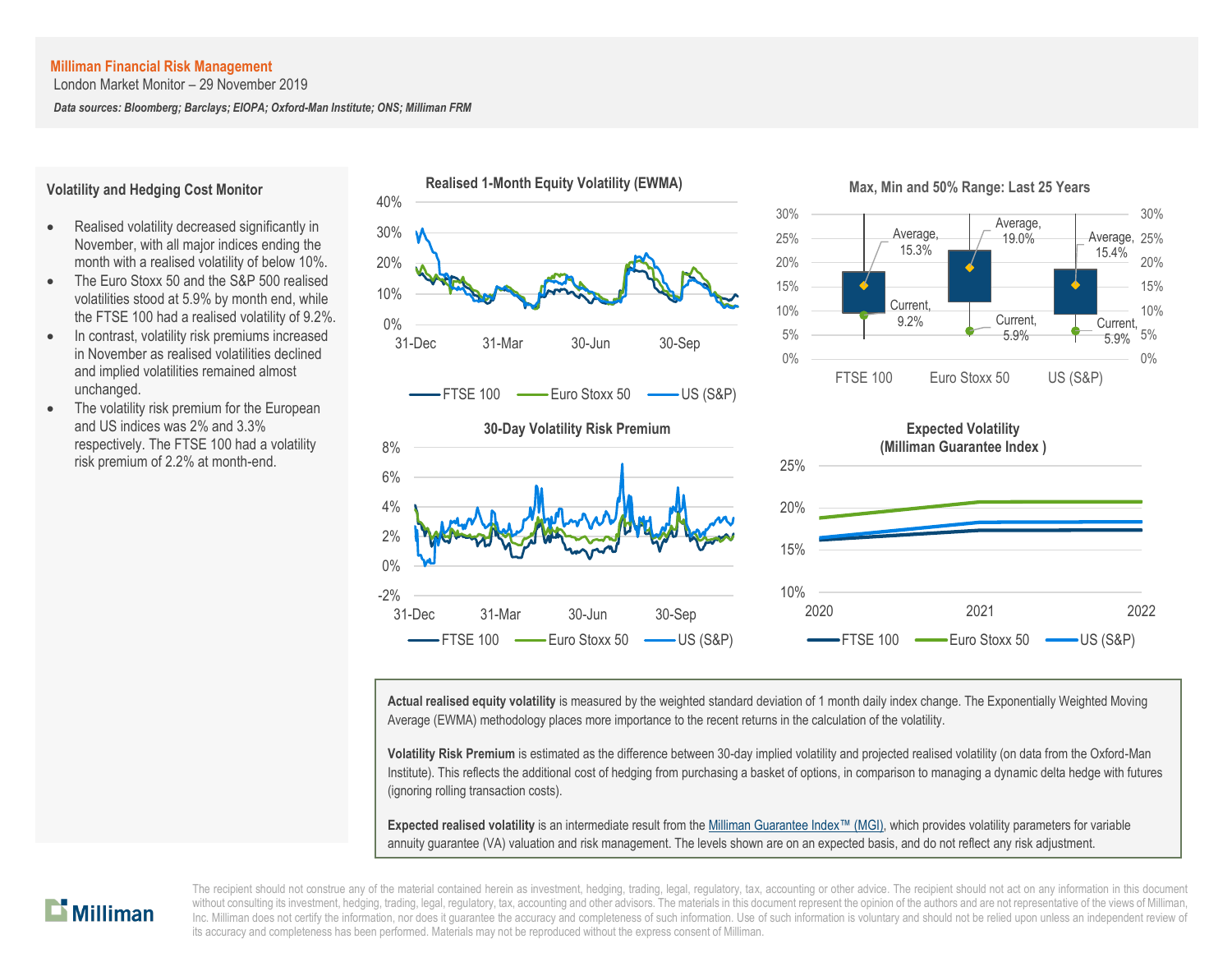London Market Monitor – 29 November 2019

*Data sources: Bloomberg; Barclays; EIOPA; Oxford-Man Institute; ONS; Milliman FRM*

#### **Volatility and Hedging Cost Monitor**

- Realised volatility decreased significantly in November, with all major indices ending the month with a realised volatility of below 10%.
- The Euro Stoxx 50 and the S&P 500 realised volatilities stood at 5.9% by month end, while the FTSE 100 had a realised volatility of 9.2%.
- In contrast, volatility risk premiums increased in November as realised volatilities declined and implied volatilities remained almost unchanged.
- The volatility risk premium for the European and US indices was 2% and 3.3% respectively. The FTSE 100 had a volatility risk premium of 2.2% at month-end.



**Actual realised equity volatility** is measured by the weighted standard deviation of 1 month daily index change. The Exponentially Weighted Moving Average (EWMA) methodology places more importance to the recent returns in the calculation of the volatility.

**Volatility Risk Premium** is estimated as the difference between 30-day implied volatility and projected realised volatility (on data from the Oxford-Man Institute). This reflects the additional cost of hedging from purchasing a basket of options, in comparison to managing a dynamic delta hedge with futures (ignoring rolling transaction costs).

**Expected realised volatility** is an intermediate result from th[e Milliman Guarantee Index](http://uk.milliman.com/Solutions/Products/The-Milliman-Guarantee-Index-and-Milliman-Hedge-Cost-Index/)™ (MGI), which provides volatility parameters for variable annuity guarantee (VA) valuation and risk management. The levels shown are on an expected basis, and do not reflect any risk adjustment.